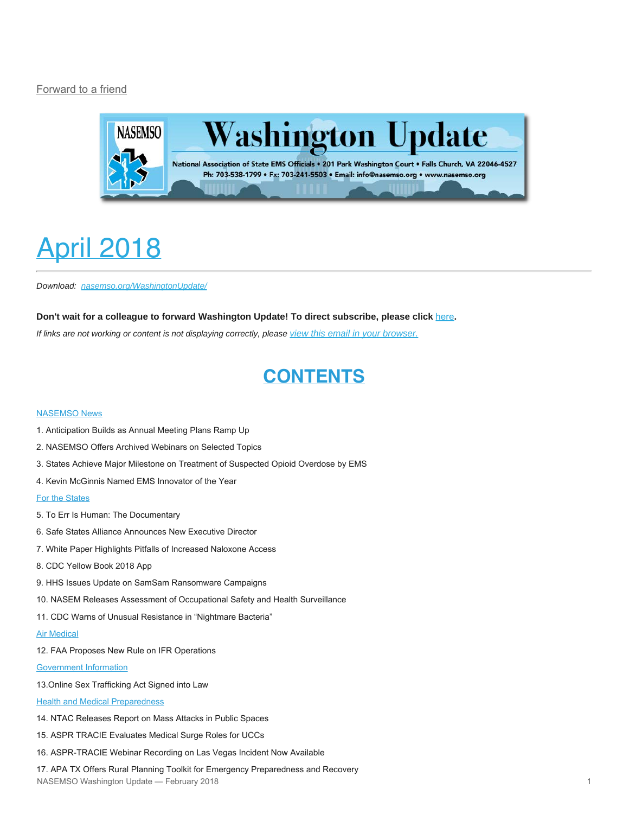#### [Forward to a friend](http://us13.forward-to-friend.com/forward?u=bdaf9a0cf267d423437d7b149&id=e5af3c61cb&e=[UNIQID])



# <span id="page-0-0"></span>April 2018

*Download: [nasemso.org/WashingtonUpdate/](http://www.nasemso.org/WashingtonUpdate/)*

**Don't wait for a colleague to forward Washington Update! To direct subscribe, please click** [here](http://eepurl.com/cb1_dP)**.**

*If links are not working or content is not displaying correctly, please [view this email in your browser.](https://mailchi.mp/fd79367b9734/washington-update-april-2018?e=[UNIQID])*

# **CONTENTS**

#### [NASEMSO News](#page-1-0)

- 1. Anticipation Builds as Annual Meeting Plans Ramp Up
- 2. NASEMSO Offers Archived Webinars on Selected Topics
- 3. States Achieve Major Milestone on Treatment of Suspected Opioid Overdose by EMS
- 4. Kevin McGinnis Named EMS Innovator of the Year

#### [For the States](#page-3-0)

- 5. To Err Is Human: The Documentary
- 6. Safe States Alliance Announces New Executive Director
- 7. White Paper Highlights Pitfalls of Increased Naloxone Access
- 8. CDC Yellow Book 2018 App
- 9. HHS Issues Update on SamSam Ransomware Campaigns
- 10. NASEM Releases Assessment of Occupational Safety and Health Surveillance
- 11. CDC Warns of Unusual Resistance in "Nightmare Bacteria"
- [Air Medical](#page-5-0)
- 12. FAA Proposes New Rule on IFR Operations

#### [Government Information](#page-6-0)

13.Online Sex Trafficking Act Signed into Law

**[Health and Medical Preparedness](#page-6-1)** 

- 14. NTAC Releases Report on Mass Attacks in Public Spaces
- 15. ASPR TRACIE Evaluates Medical Surge Roles for UCCs
- 16. ASPR-TRACIE Webinar Recording on Las Vegas Incident Now Available

17. APA TX Offers Rural Planning Toolkit for Emergency Preparedness and Recovery NASEMSO Washington Update — February 2018 1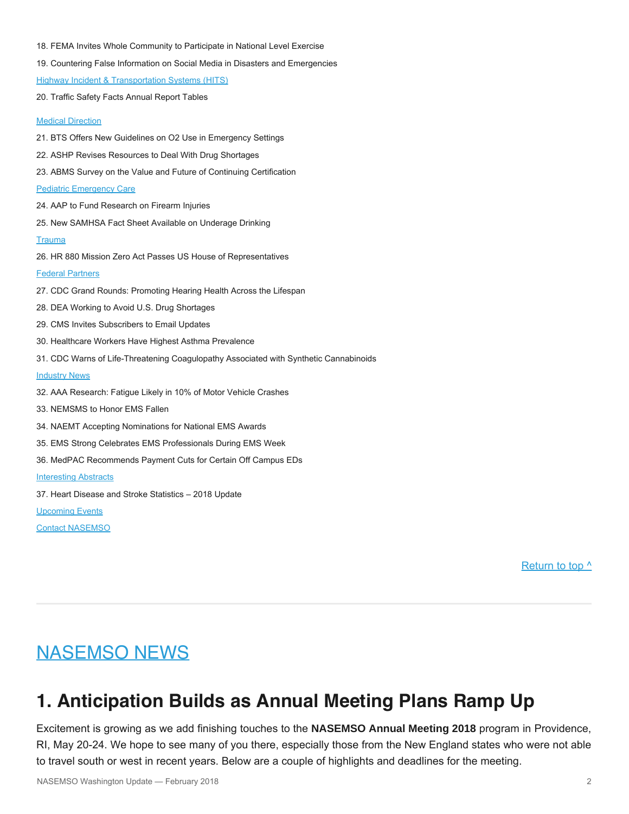- 18. FEMA Invites Whole Community to Participate in National Level Exercise
- 19. Countering False Information on Social Media in Disasters and Emergencies

[Highway Incident & Transportation Systems](#page-8-0) (HITS)

20. Traffic Safety Facts Annual Report Tables

#### **[Medical Direction](#page-9-0)**

- 21. BTS Offers New Guidelines on O2 Use in Emergency Settings
- 22. ASHP Revises Resources to Deal With Drug Shortages
- 23. ABMS Survey on the Value and Future of Continuing Certification

#### [Pediatric Emergency Care](#page-10-0)

- 24. AAP to Fund Research on Firearm Injuries
- 25. New SAMHSA Fact Sheet Available on Underage Drinking

#### **[Trauma](#page-10-1)**

26. HR 880 Mission Zero Act Passes US House of Representatives

#### [Federal Partners](#page-11-0)

- 27. CDC Grand Rounds: Promoting Hearing Health Across the Lifespan
- 28. DEA Working to Avoid U.S. Drug Shortages
- 29. CMS Invites Subscribers to Email Updates
- 30. Healthcare Workers Have Highest Asthma Prevalence
- 31. CDC Warns of Life-Threatening Coagulopathy Associated with Synthetic Cannabinoids

#### **[Industry News](#page-12-0)**

- 32. AAA Research: Fatigue Likely in 10% of Motor Vehicle Crashes
- 33. NEMSMS to Honor EMS Fallen
- 34. NAEMT Accepting Nominations for National EMS Awards
- 35. EMS Strong Celebrates EMS Professionals During EMS Week
- 36. MedPAC Recommends Payment Cuts for Certain Off Campus EDs

#### [Interesting Abstracts](#page-14-0)

37. Heart Disease and Stroke Statistics – 2018 Update

[Upcoming Events](#page-14-1)

[Contact NASEMSO](#page-17-0)

[Return to top ^](#page-0-0)

# <span id="page-1-0"></span>NASEMSO NEWS

# **1. Anticipation Builds as Annual Meeting Plans Ramp Up**

Excitement is growing as we add finishing touches to the **NASEMSO Annual Meeting 2018** program in Providence, RI, May 20-24. We hope to see many of you there, especially those from the New England states who were not able to travel south or west in recent years. Below are a couple of highlights and deadlines for the meeting.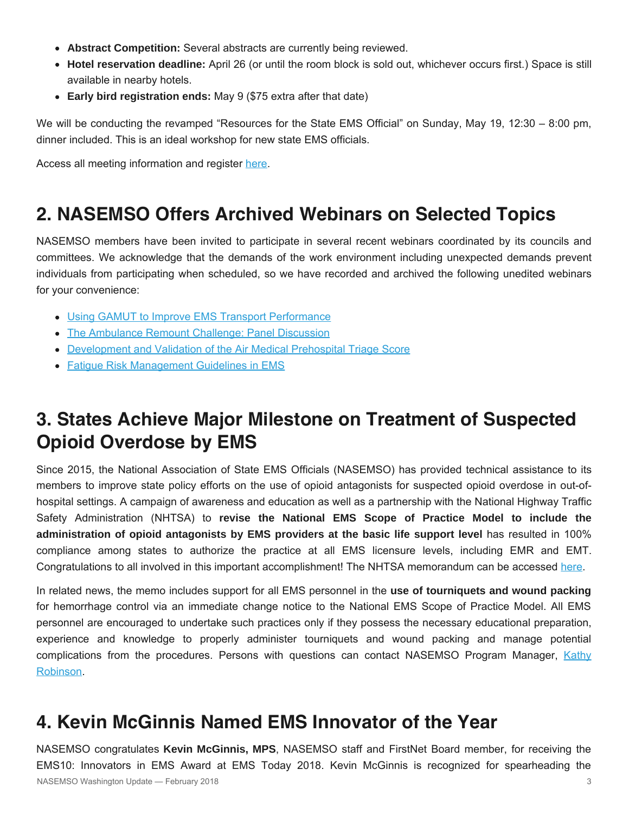- **Abstract Competition:** Several abstracts are currently being reviewed.
- **Hotel reservation deadline:** April 26 (or until the room block is sold out, whichever occurs first.) Space is still available in nearby hotels.
- **Early bird registration ends:** May 9 (\$75 extra after that date)

We will be conducting the revamped "Resources for the State EMS Official" on Sunday, May 19, 12:30 – 8:00 pm, dinner included. This is an ideal workshop for new state EMS officials.

Access all meeting information and register [here](http://nasemso.org/AnnualMeeting2018/).

# **2. NASEMSO Offers Archived Webinars on Selected Topics**

NASEMSO members have been invited to participate in several recent webinars coordinated by its councils and committees. We acknowledge that the demands of the work environment including unexpected demands prevent individuals from participating when scheduled, so we have recorded and archived the following unedited webinars for your convenience:

- [Using GAMUT to Improve EMS Transport Performance](https://vimeo.com/264091298)
- [The Ambulance Remount Challenge: Panel Discussion](https://vimeo.com/258151004)
- [Development and Validation of the Air Medical Prehospital Triage Score](https://vimeo.com/255799634)
- [Fatigue Risk Management Guidelines in EMS](https://vimeo.com/243174063)

# **3. States Achieve Major Milestone on Treatment of Suspected Opioid Overdose by EMS**

Since 2015, the National Association of State EMS Officials (NASEMSO) has provided technical assistance to its members to improve state policy efforts on the use of opioid antagonists for suspected opioid overdose in out-ofhospital settings. A campaign of awareness and education as well as a partnership with the National Highway Traffic Safety Administration (NHTSA) to **revise the National EMS Scope of Practice Model to include the administration of opioid antagonists by EMS providers at the basic life support level** has resulted in 100% compliance among states to authorize the practice at all EMS licensure levels, including EMR and EMT. Congratulations to all involved in this important accomplishment! The NHTSA memorandum can be accessed [here](https://www.ems.gov/pdf/2007-National-EMS-Scope-of-Practice-Mode-Cover-Letter-and-Change-Notices.pdf).

In related news, the memo includes support for all EMS personnel in the **use of tourniquets and wound packing** for hemorrhage control via an immediate change notice to the National EMS Scope of Practice Model. All EMS personnel are encouraged to undertake such practices only if they possess the necessary educational preparation, experience and knowledge to properly administer tourniquets and wound packing and manage potential complications from the procedures. Persons with questions can contact NASEMSO Program Manager, [Kathy](mailto:robinson@nasemso.org?subject=SOPM%20change%20notices%20on%20naloxone%20and%20hemorrhage%20control) [Robinson.](mailto:robinson@nasemso.org?subject=SOPM%20change%20notices%20on%20naloxone%20and%20hemorrhage%20control)

### **4. Kevin McGinnis Named EMS Innovator of the Year**

NASEMSO congratulates **Kevin McGinnis, MPS**, NASEMSO staff and FirstNet Board member, for receiving the EMS10: Innovators in EMS Award at EMS Today 2018. Kevin McGinnis is recognized for spearheading the NASEMSO Washington Update — February 2018 3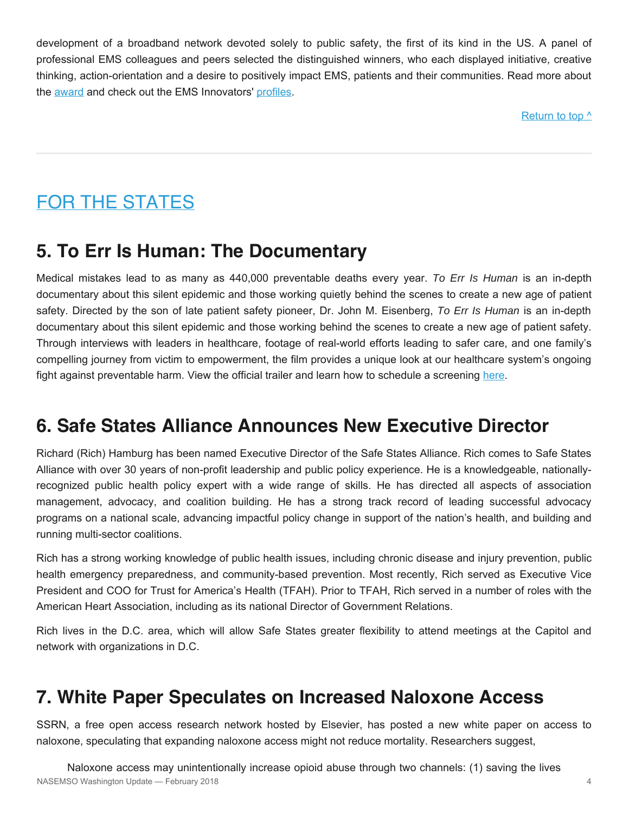development of a broadband network devoted solely to public safety, the first of its kind in the US. A panel of professional EMS colleagues and peers selected the distinguished winners, who each displayed initiative, creative thinking, action-orientation and a desire to positively impact EMS, patients and their communities. Read more about the [award](http://www.jems.com/articles/2018/02/ems10-innovators-in-ems-award-winners-announced-at-ems-today-2018.html) and check out the EMS Innovators' [profiles](http://www.jems.com/articles/print/volume-43/issue-4/features/2017-ems10-innovators-in-ems-award-winners-selected.html).

Return to top  $\wedge$ 

# <span id="page-3-0"></span>FOR THE STATES

# **5. To Err Is Human: The Documentary**

Medical mistakes lead to as many as 440,000 preventable deaths every year. *To Err Is Human* is an in-depth documentary about this silent epidemic and those working quietly behind the scenes to create a new age of patient safety. Directed by the son of late patient safety pioneer, Dr. John M. Eisenberg, *To Err Is Human* is an in-depth documentary about this silent epidemic and those working behind the scenes to create a new age of patient safety. Through interviews with leaders in healthcare, footage of real-world efforts leading to safer care, and one family's compelling journey from victim to empowerment, the film provides a unique look at our healthcare system's ongoing fight against preventable harm. View the official trailer and learn how to schedule a screening [here](http://www.toerrishumanfilm.com/).

# **6. Safe States Alliance Announces New Executive Director**

Richard (Rich) Hamburg has been named Executive Director of the Safe States Alliance. Rich comes to Safe States Alliance with over 30 years of non-profit leadership and public policy experience. He is a knowledgeable, nationallyrecognized public health policy expert with a wide range of skills. He has directed all aspects of association management, advocacy, and coalition building. He has a strong track record of leading successful advocacy programs on a national scale, advancing impactful policy change in support of the nation's health, and building and running multi-sector coalitions.

Rich has a strong working knowledge of public health issues, including chronic disease and injury prevention, public health emergency preparedness, and community-based prevention. Most recently, Rich served as Executive Vice President and COO for Trust for America's Health (TFAH). Prior to TFAH, Rich served in a number of roles with the American Heart Association, including as its national Director of Government Relations.

Rich lives in the D.C. area, which will allow Safe States greater flexibility to attend meetings at the Capitol and network with organizations in D.C.

# **7. White Paper Speculates on Increased Naloxone Access**

SSRN, a free open access research network hosted by Elsevier, has posted a new white paper on access to naloxone, speculating that expanding naloxone access might not reduce mortality. Researchers suggest,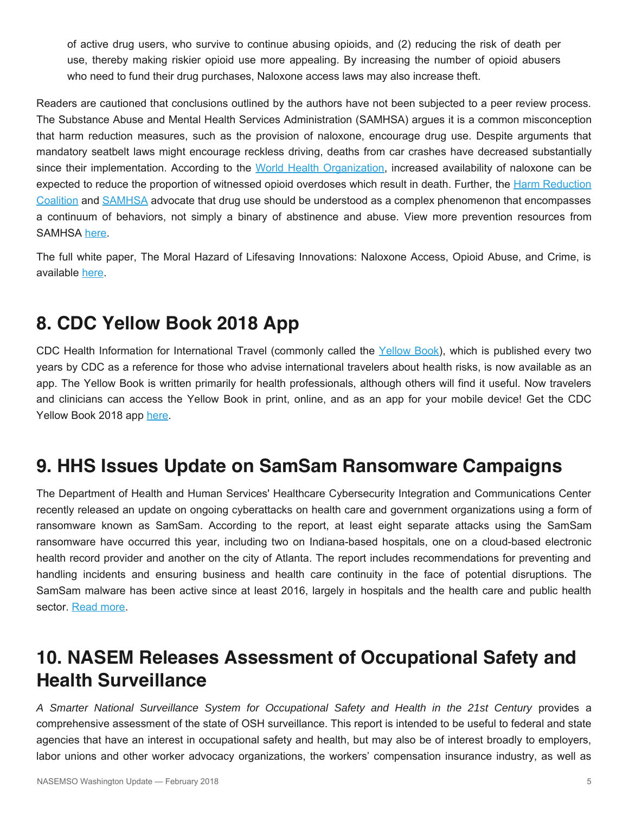of active drug users, who survive to continue abusing opioids, and (2) reducing the risk of death per use, thereby making riskier opioid use more appealing. By increasing the number of opioid abusers who need to fund their drug purchases, Naloxone access laws may also increase theft.

Readers are cautioned that conclusions outlined by the authors have not been subjected to a peer review process. The Substance Abuse and Mental Health Services Administration (SAMHSA) argues it is a common misconception that harm reduction measures, such as the provision of naloxone, encourage drug use. Despite arguments that mandatory seatbelt laws might encourage reckless driving, deaths from car crashes have decreased substantially since their implementation. According to the [World Health Organization](http://www.who.int/substance_abuse/publications/management_opioid_overdose/en/), increased availability of naloxone can be expected to reduce the proportion of witnessed opioid overdoses which result in death. Further, the [Harm Reduction](http://harmreduction.org/about-us/principles-of-harm-reduction/) [Coalition](http://harmreduction.org/about-us/principles-of-harm-reduction/) and [SAMHSA](https://www.samhsa.gov/capt/tools-learning-resources/harm-reduction-opioid-misuse-embracing-positive-change) advocate that drug use should be understood as a complex phenomenon that encompasses a continuum of behaviors, not simply a binary of abstinence and abuse. View more prevention resources from SAMHSA [here.](https://www.youtube.com/playlist?list=PLBXgZMI_zqfSx1TQTzbWjoFqJitZ1CBgK)

The full white paper, The Moral Hazard of Lifesaving Innovations: Naloxone Access, Opioid Abuse, and Crime, is available [here.](https://ssrn.com/abstract=3135264)

# **8. CDC Yellow Book 2018 App**

CDC Health Information for International Travel (commonly called the [Yellow Book\)](https://wwwnc.cdc.gov/travel/page/yellowbook-home/), which is published every two years by CDC as a reference for those who advise international travelers about health risks, is now available as an app. The Yellow Book is written primarily for health professionals, although others will find it useful. Now travelers and clinicians can access the Yellow Book in print, online, and as an app for your mobile device! Get the CDC Yellow Book 2018 app [here.](https://wwwnc.cdc.gov/travel/page/apps-about)

# **9. HHS Issues Update on SamSam Ransomware Campaigns**

The Department of Health and Human Services' Healthcare Cybersecurity Integration and Communications Center recently released an update on ongoing cyberattacks on health care and government organizations using a form of ransomware known as SamSam. According to the report, at least eight separate attacks using the SamSam ransomware have occurred this year, including two on Indiana-based hospitals, one on a cloud-based electronic health record provider and another on the city of Atlanta. The report includes recommendations for preventing and handling incidents and ensuring business and health care continuity in the face of potential disruptions. The SamSam malware has been active since at least 2016, largely in hospitals and the health care and public health sector. [Read more](https://content.govdelivery.com/attachments/USDHSCIKR/2018/04/06/file_attachments/986231/HCCIC-2018-002W-SamSam%2BRansomware%2BCampaign.pdf).

# **10. NASEM Releases Assessment of Occupational Safety and Health Surveillance**

*A Smarter National Surveillance System for Occupational Safety and Health in the 21st Century* provides a comprehensive assessment of the state of OSH surveillance. This report is intended to be useful to federal and state agencies that have an interest in occupational safety and health, but may also be of interest broadly to employers, labor unions and other worker advocacy organizations, the workers' compensation insurance industry, as well as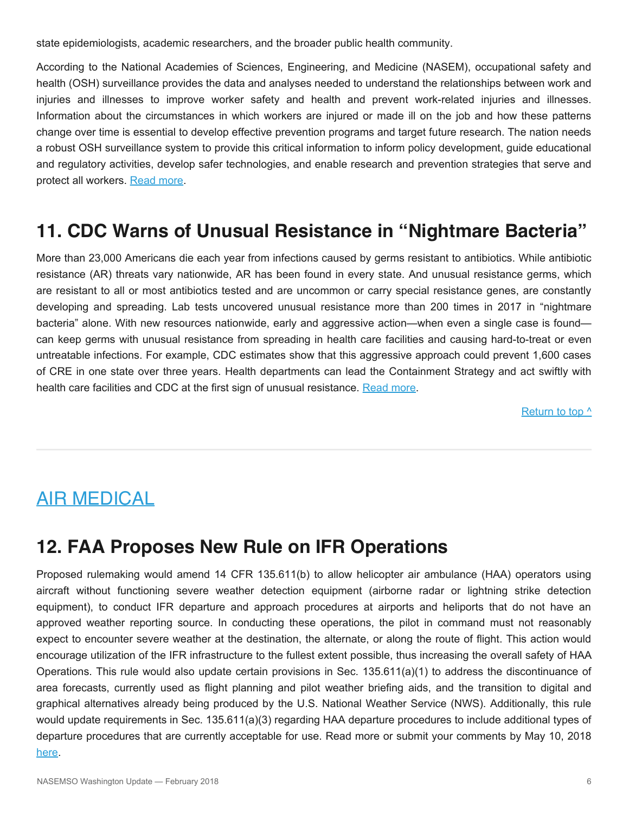state epidemiologists, academic researchers, and the broader public health community.

According to the National Academies of Sciences, Engineering, and Medicine (NASEM), occupational safety and health (OSH) surveillance provides the data and analyses needed to understand the relationships between work and injuries and illnesses to improve worker safety and health and prevent work-related injuries and illnesses. Information about the circumstances in which workers are injured or made ill on the job and how these patterns change over time is essential to develop effective prevention programs and target future research. The nation needs a robust OSH surveillance system to provide this critical information to inform policy development, guide educational and regulatory activities, develop safer technologies, and enable research and prevention strategies that serve and protect all workers. [Read more](https://www.nap.edu/catalog/24835/a-smarter-national-surveillance-system-for-occupational-safety-and-health-in-the-21st-century).

### **11. CDC Warns of Unusual Resistance in "Nightmare Bacteria"**

More than 23,000 Americans die each year from infections caused by germs resistant to antibiotics. While antibiotic resistance (AR) threats vary nationwide, AR has been found in every state. And unusual resistance germs, which are resistant to all or most antibiotics tested and are uncommon or carry special resistance genes, are constantly developing and spreading. Lab tests uncovered unusual resistance more than 200 times in 2017 in "nightmare bacteria" alone. With new resources nationwide, early and aggressive action—when even a single case is found can keep germs with unusual resistance from spreading in health care facilities and causing hard-to-treat or even untreatable infections. For example, CDC estimates show that this aggressive approach could prevent 1,600 cases of CRE in one state over three years. Health departments can lead the Containment Strategy and act swiftly with health care facilities and CDC at the first sign of unusual resistance. [Read more.](https://www.cdc.gov/vitalsigns/pdf/2018-04-vitalsigns.pdf)

Return to top  $\wedge$ 

### <span id="page-5-0"></span>AIR MEDICAL

### **12. FAA Proposes New Rule on IFR Operations**

Proposed rulemaking would amend 14 CFR 135.611(b) to allow helicopter air ambulance (HAA) operators using aircraft without functioning severe weather detection equipment (airborne radar or lightning strike detection equipment), to conduct IFR departure and approach procedures at airports and heliports that do not have an approved weather reporting source. In conducting these operations, the pilot in command must not reasonably expect to encounter severe weather at the destination, the alternate, or along the route of flight. This action would encourage utilization of the IFR infrastructure to the fullest extent possible, thus increasing the overall safety of HAA Operations. This rule would also update certain provisions in Sec. 135.611(a)(1) to address the discontinuance of area forecasts, currently used as flight planning and pilot weather briefing aids, and the transition to digital and graphical alternatives already being produced by the U.S. National Weather Service (NWS). Additionally, this rule would update requirements in Sec. 135.611(a)(3) regarding HAA departure procedures to include additional types of departure procedures that are currently acceptable for use. Read more or submit your comments by May 10, 2018 [here.](https://www.gpo.gov/fdsys/pkg/FR-2018-04-10/html/2018-07296.htm)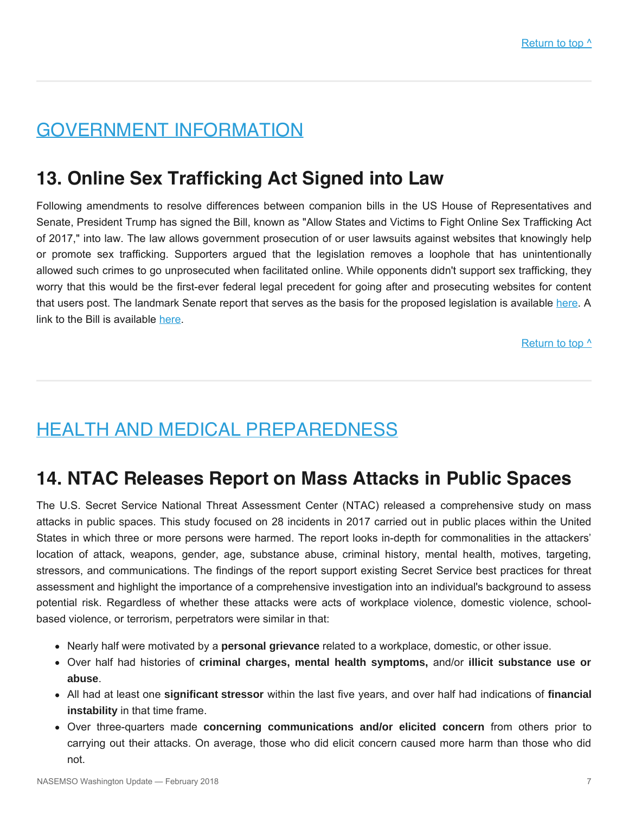# <span id="page-6-0"></span>GOVERNMENT INFORMATION

## **13. Online Sex Trafficking Act Signed into Law**

Following amendments to resolve differences between companion bills in the US House of Representatives and Senate, President Trump has signed the Bill, known as "Allow States and Victims to Fight Online Sex Trafficking Act of 2017," into law. The law allows government prosecution of or user lawsuits against websites that knowingly help or promote sex trafficking. Supporters argued that the legislation removes a loophole that has unintentionally allowed such crimes to go unprosecuted when facilitated online. While opponents didn't support sex trafficking, they worry that this would be the first-ever federal legal precedent for going after and prosecuting websites for content that users post. The landmark Senate report that serves as the basis for the proposed legislation is available [here](https://bit.ly/2uA3Yqf). A link to the Bill is available [here](https://www.congress.gov/bill/115th-congress/house-bill/1865).

Return to top  $\wedge$ 

# <span id="page-6-1"></span>HEALTH AND MEDICAL PREPAREDNESS

#### **14. NTAC Releases Report on Mass Attacks in Public Spaces**

The U.S. Secret Service National Threat Assessment Center (NTAC) released a comprehensive study on mass attacks in public spaces. This study focused on 28 incidents in 2017 carried out in public places within the United States in which three or more persons were harmed. The report looks in-depth for commonalities in the attackers' location of attack, weapons, gender, age, substance abuse, criminal history, mental health, motives, targeting, stressors, and communications. The findings of the report support existing Secret Service best practices for threat assessment and highlight the importance of a comprehensive investigation into an individual's background to assess potential risk. Regardless of whether these attacks were acts of workplace violence, domestic violence, schoolbased violence, or terrorism, perpetrators were similar in that:

- Nearly half were motivated by a **personal grievance** related to a workplace, domestic, or other issue.
- Over half had histories of **criminal charges, mental health symptoms,** and/or **illicit substance use or abuse**.
- All had at least one **significant stressor** within the last five years, and over half had indications of **financial instability** in that time frame.
- Over three-quarters made **concerning communications and/or elicited concern** from others prior to carrying out their attacks. On average, those who did elicit concern caused more harm than those who did not.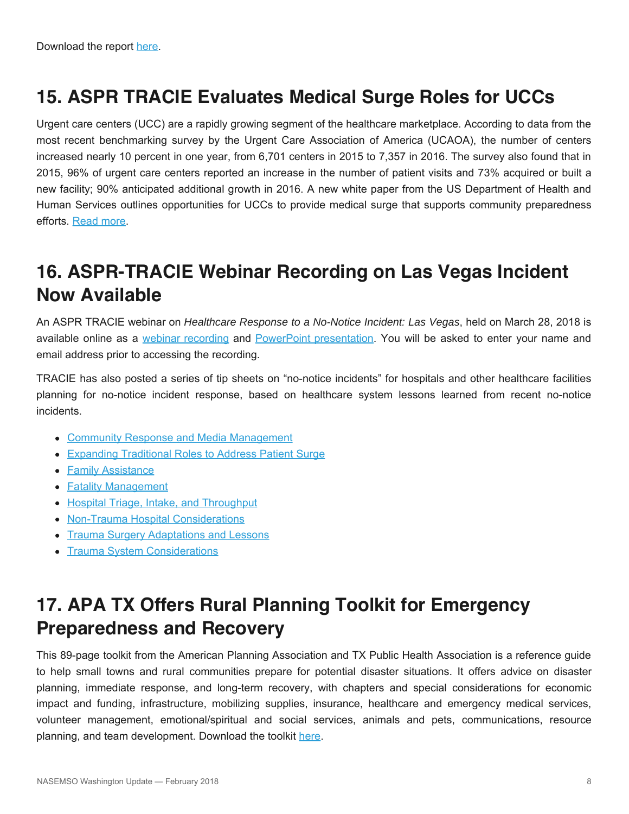# **15. ASPR TRACIE Evaluates Medical Surge Roles for UCCs**

Urgent care centers (UCC) are a rapidly growing segment of the healthcare marketplace. According to data from the most recent benchmarking survey by the Urgent Care Association of America (UCAOA), the number of centers increased nearly 10 percent in one year, from 6,701 centers in 2015 to 7,357 in 2016. The survey also found that in 2015, 96% of urgent care centers reported an increase in the number of patient visits and 73% acquired or built a new facility; 90% anticipated additional growth in 2016. A new white paper from the US Department of Health and Human Services outlines opportunities for UCCs to provide medical surge that supports community preparedness efforts. [Read more](https://asprtracie.s3.amazonaws.com/documents/aspr-tracie-medical-surge-and-the-role-of-urgent-care-centers.pdf).

# **16. ASPR-TRACIE Webinar Recording on Las Vegas Incident Now Available**

An ASPR TRACIE webinar on *Healthcare Response to a No-Notice Incident: Las Vegas*, held on March 28, 2018 is available online as a [webinar recording](https://attendee.gotowebinar.com/recording/3579578141668518147) and [PowerPoint presentation.](https://asprtracie.s3.amazonaws.com/documents/aspr-tracie-no-notice-incident-las-vegas-webinar-ppt-508.pdf) You will be asked to enter your name and email address prior to accessing the recording.

TRACIE has also posted a series of tip sheets on "no-notice incidents" for hospitals and other healthcare facilities planning for no-notice incident response, based on healthcare system lessons learned from recent no-notice incidents.

- **[Community Response and Media Management](https://asprtracie.s3.amazonaws.com/documents/no-notice-incidents-community-response.pdf)**
- [Expanding Traditional Roles to Address Patient Surge](https://asprtracie.s3.amazonaws.com/documents/no-notice-incidents-expanding-traditional-roles.pdf)
- [Family Assistance](https://asprtracie.s3.amazonaws.com/documents/no-notice-incidents-family-assistance.pdf)
- **[Fatality Management](https://asprtracie.s3.amazonaws.com/documents/no-notice-incidents-fatality-management.pdf)**
- [Hospital Triage, Intake, and Throughput](https://asprtracie.s3.amazonaws.com/documents/no-notice-incidents-triage-intake-throughput.pdf)
- [Non-Trauma Hospital Considerations](https://asprtracie.s3.amazonaws.com/documents/no-notice-incidents-non-trauma-hospital-considerations.pdf)
- [Trauma Surgery Adaptations and Lessons](https://asprtracie.s3.amazonaws.com/documents/no-notice-incidents-trauma-surgery-adaptations-and-lessons.pdf)
- [Trauma System Considerations](https://asprtracie.s3.amazonaws.com/documents/no-notice-incidents-trauma-system-considerations.pdf)

# **17. APA TX Offers Rural Planning Toolkit for Emergency Preparedness and Recovery**

This 89-page toolkit from the American Planning Association and TX Public Health Association is a reference guide to help small towns and rural communities prepare for potential disaster situations. It offers advice on disaster planning, immediate response, and long-term recovery, with chapters and special considerations for economic impact and funding, infrastructure, mobilizing supplies, insurance, healthcare and emergency medical services, volunteer management, emotional/spiritual and social services, animals and pets, communications, resource planning, and team development. Download the toolkit [here](https://docs.wixstatic.com/ugd/c536a4_dd72ece254fb4217aa13e40361dd970d.pdf).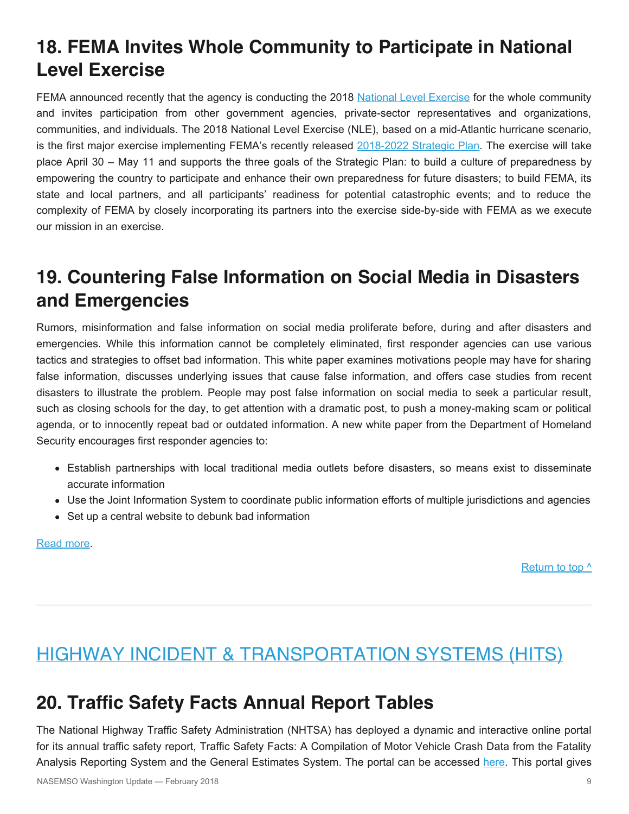# **18. FEMA Invites Whole Community to Participate in National Level Exercise**

FEMA announced recently that the agency is conducting the 2018 [National Level Exercise](https://www.fema.gov/nle) for the whole community and invites participation from other government agencies, private-sector representatives and organizations, communities, and individuals. The 2018 National Level Exercise (NLE), based on a mid-Atlantic hurricane scenario, is the first major exercise implementing FEMA's recently released [2018-2022 Strategic Plan.](https://www.fema.gov/strategic-plan) The exercise will take place April 30 – May 11 and supports the three goals of the Strategic Plan: to build a culture of preparedness by empowering the country to participate and enhance their own preparedness for future disasters; to build FEMA, its state and local partners, and all participants' readiness for potential catastrophic events; and to reduce the complexity of FEMA by closely incorporating its partners into the exercise side-by-side with FEMA as we execute our mission in an exercise.

# **19. Countering False Information on Social Media in Disasters and Emergencies**

Rumors, misinformation and false information on social media proliferate before, during and after disasters and emergencies. While this information cannot be completely eliminated, first responder agencies can use various tactics and strategies to offset bad information. This white paper examines motivations people may have for sharing false information, discusses underlying issues that cause false information, and offers case studies from recent disasters to illustrate the problem. People may post false information on social media to seek a particular result, such as closing schools for the day, to get attention with a dramatic post, to push a money-making scam or political agenda, or to innocently repeat bad or outdated information. A new white paper from the Department of Homeland Security encourages first responder agencies to:

- Establish partnerships with local traditional media outlets before disasters, so means exist to disseminate accurate information
- Use the Joint Information System to coordinate public information efforts of multiple jurisdictions and agencies
- Set up a central website to debunk bad information

#### [Read more.](https://www.dhs.gov/sites/default/files/publications/SMWG_Countering-False-Info-Social-Media-Disasters-Emergencies_Mar2018-508.pdf)

Return to top  $\wedge$ 

# <span id="page-8-0"></span>HIGHWAY INCIDENT & TRANSPORTATION SYSTEMS (HITS)

### **20. Traffic Safety Facts Annual Report Tables**

The National Highway Traffic Safety Administration (NHTSA) has deployed a dynamic and interactive online portal for its annual traffic safety report, Traffic Safety Facts: A Compilation of Motor Vehicle Crash Data from the Fatality Analysis Reporting System and the General Estimates System. The portal can be accessed [here.](https://cdan.nhtsa.gov/TSFTables/TSFAR.htm) This portal gives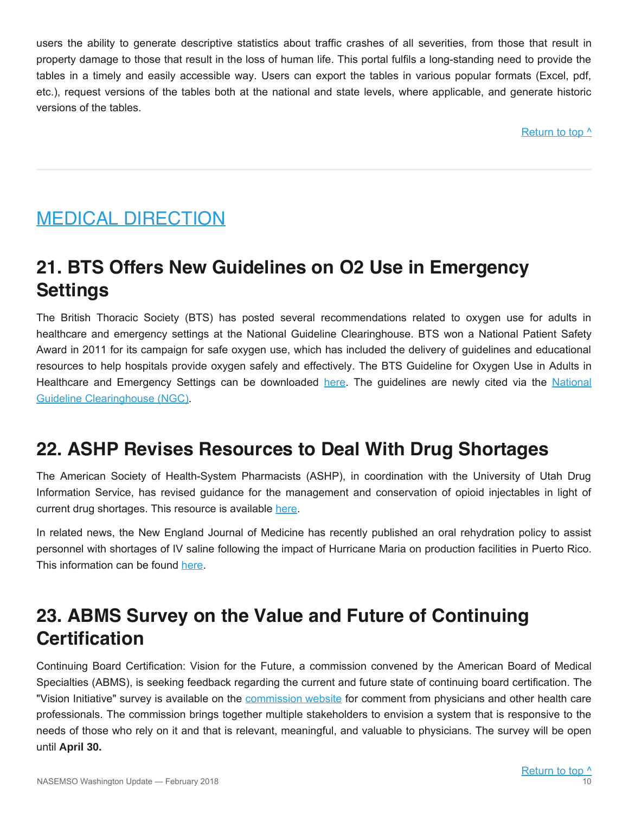users the ability to generate descriptive statistics about traffic crashes of all severities, from those that result in property damage to those that result in the loss of human life. This portal fulfils a long-standing need to provide the tables in a timely and easily accessible way. Users can export the tables in various popular formats (Excel, pdf, etc.), request versions of the tables both at the national and state levels, where applicable, and generate historic versions of the tables.

[Return to top ^](#page-0-0)

# <span id="page-9-0"></span>MEDICAL DIRECTION

# **21. BTS Offers New Guidelines on O2 Use in Emergency Settings**

The British Thoracic Society (BTS) has posted several recommendations related to oxygen use for adults in healthcare and emergency settings at the National Guideline Clearinghouse. BTS won a National Patient Safety Award in 2011 for its campaign for safe oxygen use, which has included the delivery of guidelines and educational resources to help hospitals provide oxygen safely and effectively. The BTS Guideline for Oxygen Use in Adults in Healthcare and Emergency Settings can be downloaded [here](https://www.brit-thoracic.org.uk/standards-of-care/guidelines/bts-guideline-for-emergency-oxygen-use-in-adult-patients/). The guidelines are newly cited via the [National](https://www.guideline.gov/) [Guideline Clearinghouse \(NGC\).](https://www.guideline.gov/)

# **22. ASHP Revises Resources to Deal With Drug Shortages**

The American Society of Health-System Pharmacists (ASHP), in coordination with the University of Utah Drug Information Service, has revised guidance for the management and conservation of opioid injectables in light of current drug shortages. This resource is available [here](https://www.ashp.org/-/media/assets/drug-shortages/docs/drug-shortages-iv-opioids-faq-march2018.ashx).

In related news, the New England Journal of Medicine has recently published an oral rehydration policy to assist personnel with shortages of IV saline following the impact of Hurricane Maria on production facilities in Puerto Rico. This information can be found [here.](http://www.nejm.org/doi/10.1056/NEJMp1801772)

# **23. ABMS Survey on the Value and Future of Continuing Certification**

Continuing Board Certification: Vision for the Future, a commission convened by the American Board of Medical Specialties (ABMS), is seeking feedback regarding the current and future state of continuing board certification. The "Vision Initiative" survey is available on the [commission website](https://visioninitiative.org/comment/) for comment from physicians and other health care professionals. The commission brings together multiple stakeholders to envision a system that is responsive to the needs of those who rely on it and that is relevant, meaningful, and valuable to physicians. The survey will be open until **April 30.**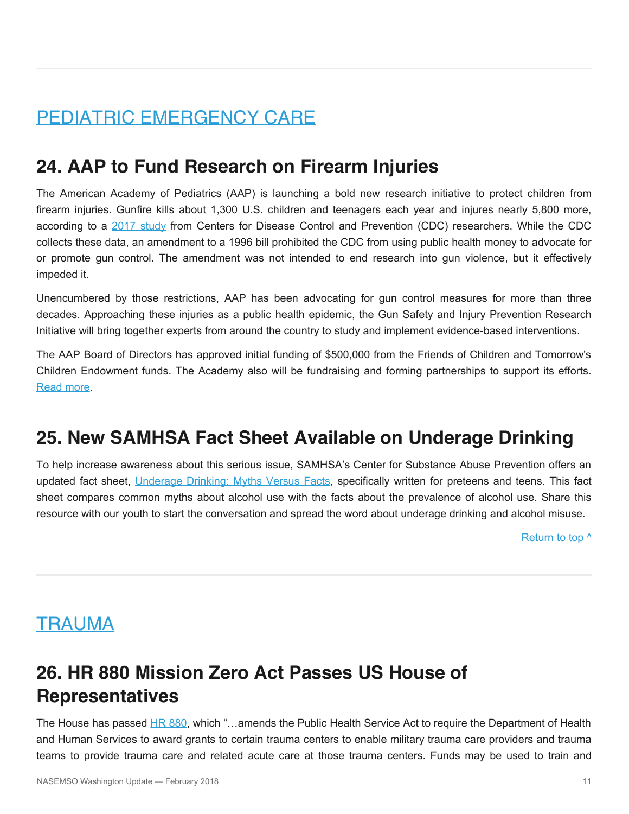# <span id="page-10-0"></span>PEDIATRIC EMERGENCY CARE

## **24. AAP to Fund Research on Firearm Injuries**

The American Academy of Pediatrics (AAP) is launching a bold new research initiative to protect children from firearm injuries. Gunfire kills about 1,300 U.S. children and teenagers each year and injures nearly 5,800 more, according to a [2017 study](http://pediatrics.aappublications.org/content/early/2017/06/15/peds.2016-3486) from Centers for Disease Control and Prevention (CDC) researchers. While the CDC collects these data, an amendment to a 1996 bill prohibited the CDC from using public health money to advocate for or promote gun control. The amendment was not intended to end research into gun violence, but it effectively impeded it.

Unencumbered by those restrictions, AAP has been advocating for gun control measures for more than three decades. Approaching these injuries as a public health epidemic, the Gun Safety and Injury Prevention Research Initiative will bring together experts from around the country to study and implement evidence-based interventions.

The AAP Board of Directors has approved initial funding of \$500,000 from the Friends of Children and Tomorrow's Children Endowment funds. The Academy also will be fundraising and forming partnerships to support its efforts. [Read more.](http://www.aappublications.org/news/2018/03/16/guninitiative031618)

### **25. New SAMHSA Fact Sheet Available on Underage Drinking**

To help increase awareness about this serious issue, SAMHSA's Center for Substance Abuse Prevention offers an updated fact sheet, [Underage Drinking: Myths Versus Facts](https://store.samhsa.gov/product/SMA18-4299), specifically written for preteens and teens. This fact sheet compares common myths about alcohol use with the facts about the prevalence of alcohol use. Share this resource with our youth to start the conversation and spread the word about underage drinking and alcohol misuse.

Return to top  $\wedge$ 

#### <span id="page-10-1"></span>**TRAUMA**

# **26. HR 880 Mission Zero Act Passes US House of Representatives**

The House has passed [HR 880](https://www.congress.gov/bill/115th-congress/house-bill/880?q=%7B%22search%22%3A%5B%22hr880%22%5D%7D&r=1), which "...amends the Public Health Service Act to require the Department of Health and Human Services to award grants to certain trauma centers to enable military trauma care providers and trauma teams to provide trauma care and related acute care at those trauma centers. Funds may be used to train and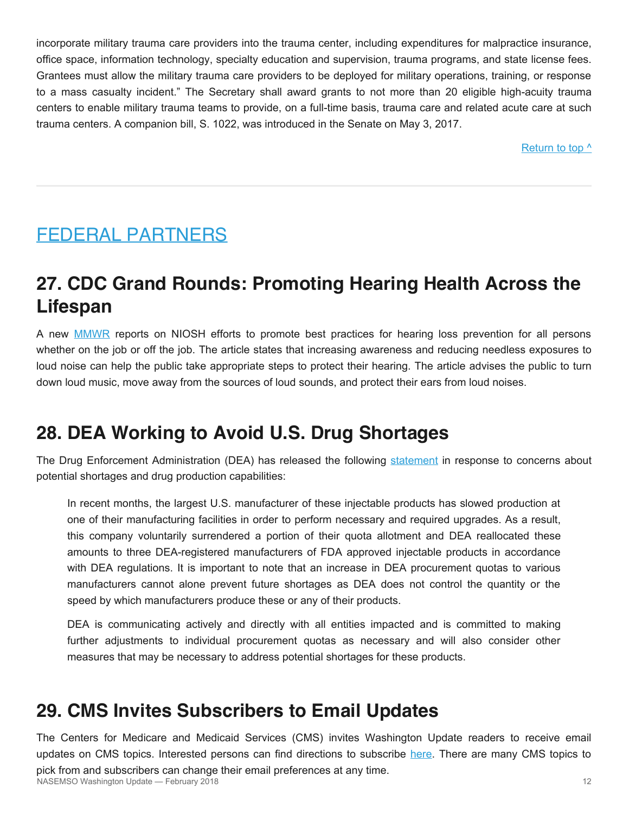incorporate military trauma care providers into the trauma center, including expenditures for malpractice insurance, office space, information technology, specialty education and supervision, trauma programs, and state license fees. Grantees must allow the military trauma care providers to be deployed for military operations, training, or response to a mass casualty incident." The Secretary shall award grants to not more than 20 eligible high-acuity trauma centers to enable military trauma teams to provide, on a full-time basis, trauma care and related acute care at such trauma centers. A companion bill, S. 1022, was introduced in the Senate on May 3, 2017.

Return to top  $\wedge$ 

# <span id="page-11-0"></span>FEDERAL PARTNERS

# **27. CDC Grand Rounds: Promoting Hearing Health Across the Lifespan**

A new **[MMWR](https://www.cdc.gov/mmwr/volumes/67/wr/mm6708a2.htm?s_cid=mm6708a2_e)** reports on NIOSH efforts to promote best practices for hearing loss prevention for all persons whether on the job or off the job. The article states that increasing awareness and reducing needless exposures to loud noise can help the public take appropriate steps to protect their hearing. The article advises the public to turn down loud music, move away from the sources of loud sounds, and protect their ears from loud noises.

# **28. DEA Working to Avoid U.S. Drug Shortages**

The Drug Enforcement Administration (DEA) has released the following [statement](https://www.dea.gov/divisions/hq/2018/hq040918.shtml) in response to concerns about potential shortages and drug production capabilities:

In recent months, the largest U.S. manufacturer of these injectable products has slowed production at one of their manufacturing facilities in order to perform necessary and required upgrades. As a result, this company voluntarily surrendered a portion of their quota allotment and DEA reallocated these amounts to three DEA-registered manufacturers of FDA approved injectable products in accordance with DEA regulations. It is important to note that an increase in DEA procurement quotas to various manufacturers cannot alone prevent future shortages as DEA does not control the quantity or the speed by which manufacturers produce these or any of their products.

DEA is communicating actively and directly with all entities impacted and is committed to making further adjustments to individual procurement quotas as necessary and will also consider other measures that may be necessary to address potential shortages for these products.

### **29. CMS Invites Subscribers to Email Updates**

The Centers for Medicare and Medicaid Services (CMS) invites Washington Update readers to receive email updates on CMS topics. Interested persons can find directions to subscribe [here](https://www.cms.gov/About-CMS/Agency-Information/Aboutwebsite/EmailUpdates.html). There are many CMS topics to

pick from and subscribers can change their email preferences at any time.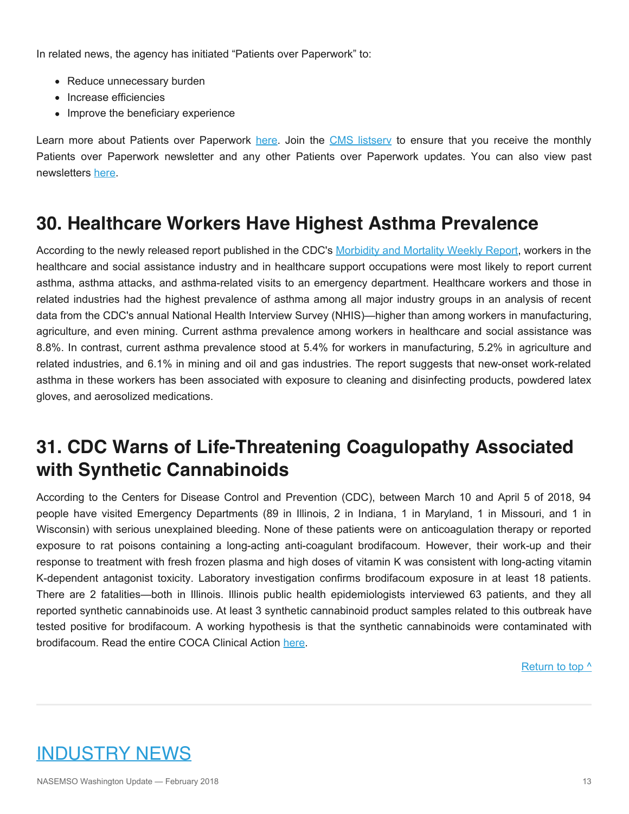In related news, the agency has initiated "Patients over Paperwork" to:

- Reduce unnecessary burden
- Increase efficiencies
- Improve the beneficiary experience

Learn more about Patients over Paperwork [here](https://www.cms.gov/About-CMS/story-page/patients-over-paperwork.html). Join the CMS listsery to ensure that you receive the monthly Patients over Paperwork newsletter and any other Patients over Paperwork updates. You can also view past newsletters [here](https://www.cms.gov/Outreach-and-Education/Outreach/Partnerships/PatientsOverPaperwork.html).

### **30. Healthcare Workers Have Highest Asthma Prevalence**

According to the newly released report published in the CDC's [Morbidity and Mortality Weekly Report](https://www.cdc.gov/mmwr/volumes/67/wr/mm6713a1.htm?s_cid=mm6713a1_e), workers in the healthcare and social assistance industry and in healthcare support occupations were most likely to report current asthma, asthma attacks, and asthma-related visits to an emergency department. Healthcare workers and those in related industries had the highest prevalence of asthma among all major industry groups in an analysis of recent data from the CDC's annual National Health Interview Survey (NHIS)—higher than among workers in manufacturing, agriculture, and even mining. Current asthma prevalence among workers in healthcare and social assistance was 8.8%. In contrast, current asthma prevalence stood at 5.4% for workers in manufacturing, 5.2% in agriculture and related industries, and 6.1% in mining and oil and gas industries. The report suggests that new-onset work-related asthma in these workers has been associated with exposure to cleaning and disinfecting products, powdered latex gloves, and aerosolized medications.

# **31. CDC Warns of Life-Threatening Coagulopathy Associated with Synthetic Cannabinoids**

According to the Centers for Disease Control and Prevention (CDC), between March 10 and April 5 of 2018, 94 people have visited Emergency Departments (89 in Illinois, 2 in Indiana, 1 in Maryland, 1 in Missouri, and 1 in Wisconsin) with serious unexplained bleeding. None of these patients were on anticoagulation therapy or reported exposure to rat poisons containing a long-acting anti-coagulant brodifacoum. However, their work-up and their response to treatment with fresh frozen plasma and high doses of vitamin K was consistent with long-acting vitamin K-dependent antagonist toxicity. Laboratory investigation confirms brodifacoum exposure in at least 18 patients. There are 2 fatalities—both in Illinois. Illinois public health epidemiologists interviewed 63 patients, and they all reported synthetic cannabinoids use. At least 3 synthetic cannabinoid product samples related to this outbreak have tested positive for brodifacoum. A working hypothesis is that the synthetic cannabinoids were contaminated with brodifacoum. Read the entire COCA Clinical Action [here.](https://content.govdelivery.com/accounts/USCDC/bulletins/1e6dac3)

[Return to top ^](#page-0-0)

# <span id="page-12-0"></span>INDUSTRY NEWS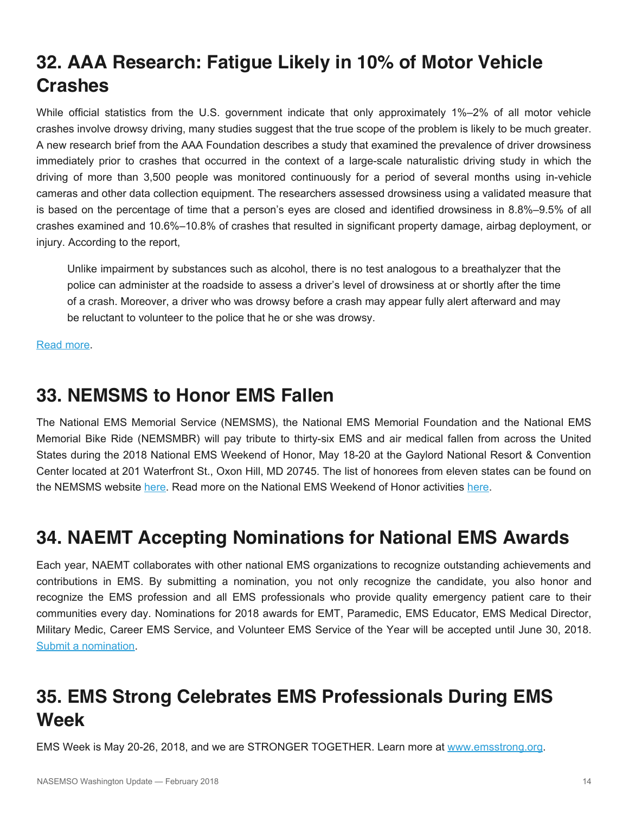# **32. AAA Research: Fatigue Likely in 10% of Motor Vehicle Crashes**

While official statistics from the U.S. government indicate that only approximately 1%–2% of all motor vehicle crashes involve drowsy driving, many studies suggest that the true scope of the problem is likely to be much greater. A new research brief from the AAA Foundation describes a study that examined the prevalence of driver drowsiness immediately prior to crashes that occurred in the context of a large-scale naturalistic driving study in which the driving of more than 3,500 people was monitored continuously for a period of several months using in-vehicle cameras and other data collection equipment. The researchers assessed drowsiness using a validated measure that is based on the percentage of time that a person's eyes are closed and identified drowsiness in 8.8%–9.5% of all crashes examined and 10.6%–10.8% of crashes that resulted in significant property damage, airbag deployment, or injury. According to the report,

Unlike impairment by substances such as alcohol, there is no test analogous to a breathalyzer that the police can administer at the roadside to assess a driver's level of drowsiness at or shortly after the time of a crash. Moreover, a driver who was drowsy before a crash may appear fully alert afterward and may be reluctant to volunteer to the police that he or she was drowsy.

[Read more.](https://aaafoundation.org/prevalence-drowsy-driving-crashes-estimates-large-scale-naturalistic-driving-study/)

## **33. NEMSMS to Honor EMS Fallen**

The National EMS Memorial Service (NEMSMS), the National EMS Memorial Foundation and the National EMS Memorial Bike Ride (NEMSMBR) will pay tribute to thirty-six EMS and air medical fallen from across the United States during the 2018 National EMS Weekend of Honor, May 18-20 at the Gaylord National Resort & Convention Center located at 201 Waterfront St., Oxon Hill, MD 20745. The list of honorees from eleven states can be found on the NEMSMS website [here.](http://www.national-ems-memorial.org/2018-national-ems-memorial-service-honorees/) Read more on the National EMS Weekend of Honor activities [here](http://www.national-ems-memorial.org/events-2/weekend-of-tribute/).

# **34. NAEMT Accepting Nominations for National EMS Awards**

Each year, NAEMT collaborates with other national EMS organizations to recognize outstanding achievements and contributions in EMS. By submitting a nomination, you not only recognize the candidate, you also honor and recognize the EMS profession and all EMS professionals who provide quality emergency patient care to their communities every day. Nominations for 2018 awards for EMT, Paramedic, EMS Educator, EMS Medical Director, Military Medic, Career EMS Service, and Volunteer EMS Service of the Year will be accepted until June 30, 2018. [Submit a nomination](http://www.naemt.org/initiatives/national-ems-awards).

# **35. EMS Strong Celebrates EMS Professionals During EMS Week**

EMS Week is May 20-26, 2018, and we are STRONGER TOGETHER. Learn more at [www.emsstrong.org](http://www.emsstrong.org/).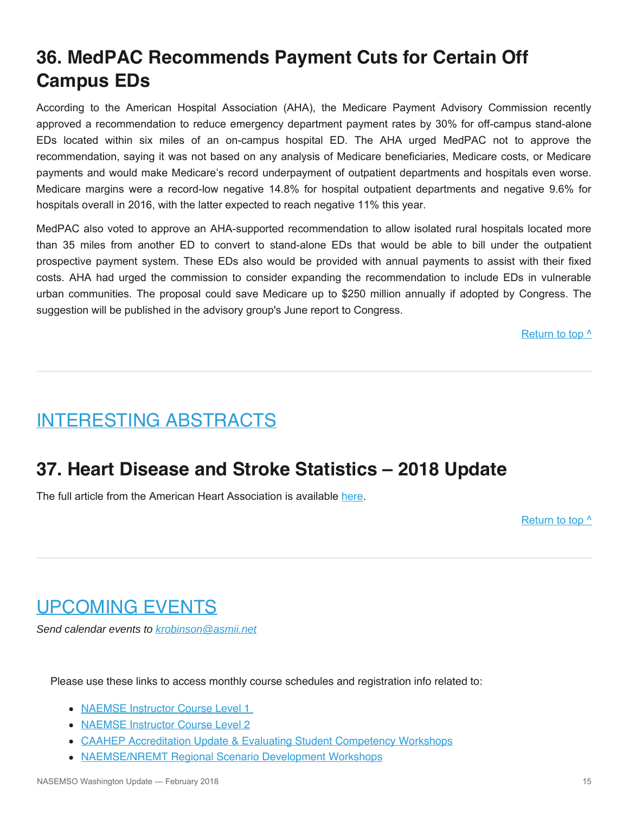# **36. MedPAC Recommends Payment Cuts for Certain Off Campus EDs**

According to the American Hospital Association (AHA), the Medicare Payment Advisory Commission recently approved a recommendation to reduce emergency department payment rates by 30% for off-campus stand-alone EDs located within six miles of an on-campus hospital ED. The AHA urged MedPAC not to approve the recommendation, saying it was not based on any analysis of Medicare beneficiaries, Medicare costs, or Medicare payments and would make Medicare's record underpayment of outpatient departments and hospitals even worse. Medicare margins were a record-low negative 14.8% for hospital outpatient departments and negative 9.6% for hospitals overall in 2016, with the latter expected to reach negative 11% this year.

MedPAC also voted to approve an AHA-supported recommendation to allow isolated rural hospitals located more than 35 miles from another ED to convert to stand-alone EDs that would be able to bill under the outpatient prospective payment system. These EDs also would be provided with annual payments to assist with their fixed costs. AHA had urged the commission to consider expanding the recommendation to include EDs in vulnerable urban communities. The proposal could save Medicare up to \$250 million annually if adopted by Congress. The suggestion will be published in the advisory group's June report to Congress.

[Return to top ^](#page-0-0)

# <span id="page-14-0"></span>INTERESTING ABSTRACTS

# **37. Heart Disease and Stroke Statistics – 2018 Update**

The full article from the American Heart Association is available [here.](http://circ.ahajournals.org/content/early/2018/01/30/CIR.0000000000000558)

Return to top  $\wedge$ 

# <span id="page-14-1"></span>UPCOMING EVENTS

*Send calendar events to [krobinson@asmii.net](mailto:krobinson@asmii.net?subject=Calendar%20Event%20for%20Washington%20Update)*

Please use these links to access monthly course schedules and registration info related to:

- [NAEMSE Instructor Course Level 1](http://naemse.org/?page=LVL1InstructorCourse)
- [NAEMSE Instructor Course Level 2](http://naemse.org/?page=LVL2InstructorCourse)
- [CAAHEP Accreditation Update & Evaluating Student Competency Workshops](http://naemse.org/?page=coaemsp)
- [NAEMSE/NREMT Regional Scenario Development Workshops](http://naemse.org/?page=nremt)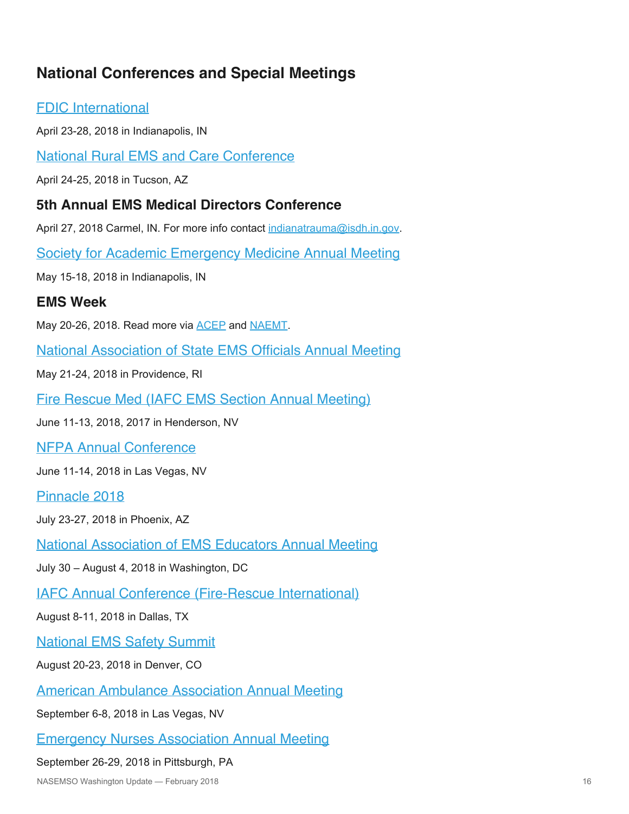#### **National Conferences and Special Meetings**

#### [FDIC International](http://www.fdic.com/index.html)

April 23-28, 2018 in Indianapolis, IN

[National Rural EMS and Care Conference](https://nosorh.org/calendar-events/ems/)

April 24-25, 2018 in Tucson, AZ

#### **5th Annual EMS Medical Directors Conference**

April 27, 2018 Carmel, IN. For more info contact [indianatrauma@isdh.in.gov](mailto:indianatrauma@isdh.in.gov?subject=EMS%20Medical%20Directors%20Conference).

[Society for Academic Emergency Medicine Annual Meeting](http://saem.org/annual-meeting)

May 15-18, 2018 in Indianapolis, IN

#### **EMS Week**

May 20-26, 2018. Read more via [ACEP](https://www.acep.org/emsweek/) and [NAEMT](https://www.naemt.org/initiatives/ems-week).

[National Association of State EMS Officials Annual Meeting](https://www.nasemso.org/AnnualMeeting2018/index.asp)

May 21-24, 2018 in Providence, RI

[Fire Rescue Med \(IAFC EMS Section Annual Meeting\)](https://www.iafc.org/events/event/2018/06/11/default-calendar/fire-rescue-med)

June 11-13, 2018, 2017 in Henderson, NV

[NFPA Annual Conference](http://www.nfpa.org/Training-and-Events/By-type/Conferences/Conference)

June 11-14, 2018 in Las Vegas, NV

[Pinnacle 2018](http://pinnacle-ems.com/)

July 23-27, 2018 in Phoenix, AZ

[National Association of EMS Educators Annual Meeting](http://www.naemse.org/)

July 30 – August 4, 2018 in Washington, DC

[IAFC Annual Conference \(Fire-Rescue International\)](http://www.iafc.org/fri)

August 8-11, 2018 in Dallas, TX

[National EMS Safety Summit](http://nationalemssafetysummit.org/)

August 20-23, 2018 in Denver, CO

[American Ambulance Association Annual Meeting](https://annual.ambulance.org/)

September 6-8, 2018 in Las Vegas, NV

[Emergency Nurses Association Annual Meeting](http://www.ena.org/)

#### September 26-29, 2018 in Pittsburgh, PA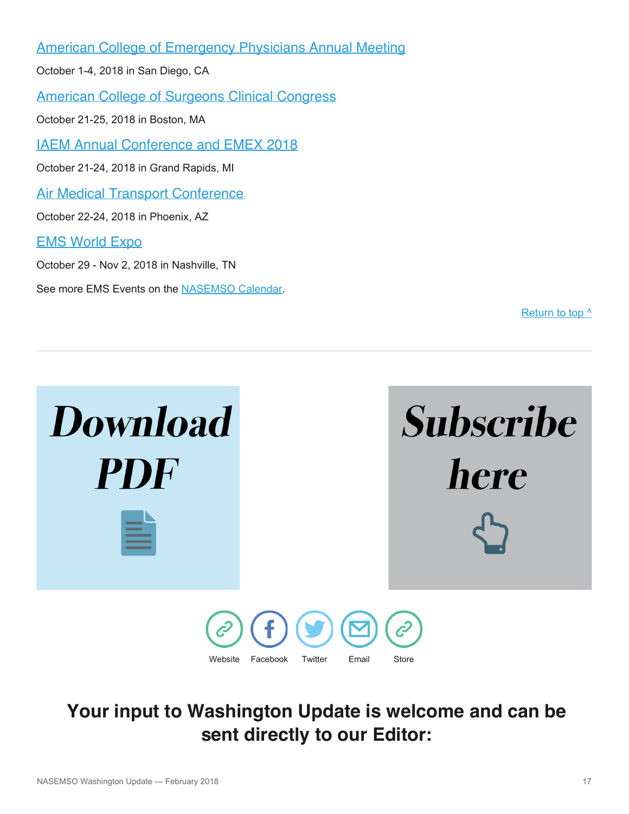[American College of Emergency Physicians Annual Meeting](http://www.acep.org/)

October 1-4, 2018 in San Diego, CA

[American College of Surgeons Clinical Congress](https://www.facs.org/clincon2018)

October 21-25, 2018 in Boston, MA

[IAEM Annual Conference and EMEX 2018](http://www.iaemconference.info/)

October 21-24, 2018 in Grand Rapids, MI

[Air Medical Transport Conference](http://aams.org/education-meetings/)

October 22-24, 2018 in Phoenix, AZ

#### [EMS World Expo](http://www.emsworldexpo.com/)

October 29 - Nov 2, 2018 in Nashville, TN

See more EMS Events on the [NASEMSO Calendar.](http://www.nasemso.org/Resources/Calendar/index.asp)

Return to top  $\wedge$ 



# **Your input to Washington Update is welcome and can be sent directly to our Editor:**